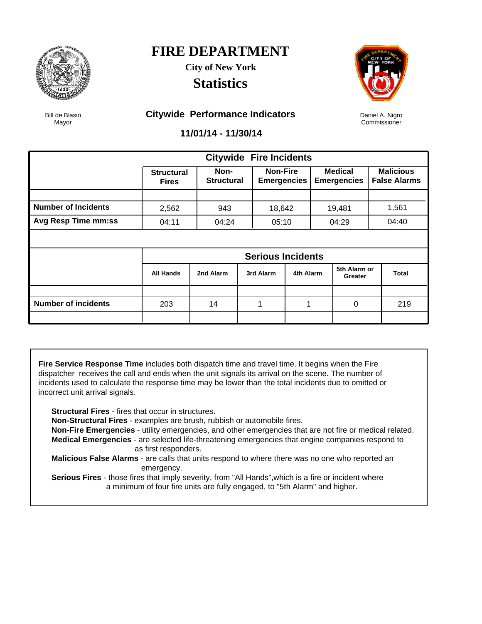

**City of New York Statistics**



Daniel A. Nigro Commissioner

Bill de Blasio Mayor

#### **Citywide Performance Indicators**

**11/01/14 - 11/30/14**

|                            |                                   |                           |  | <b>Citywide Fire Incidents</b>        |           |  |                                      |  |                                         |
|----------------------------|-----------------------------------|---------------------------|--|---------------------------------------|-----------|--|--------------------------------------|--|-----------------------------------------|
|                            | <b>Structural</b><br><b>Fires</b> | Non-<br><b>Structural</b> |  | <b>Non-Fire</b><br><b>Emergencies</b> |           |  | <b>Medical</b><br><b>Emergencies</b> |  | <b>Malicious</b><br><b>False Alarms</b> |
|                            |                                   |                           |  |                                       |           |  |                                      |  |                                         |
| <b>Number of Incidents</b> | 2,562                             | 943                       |  | 18,642                                |           |  | 19,481                               |  | 1,561                                   |
| Avg Resp Time mm:ss        | 04:11                             | 04:24                     |  | 05:10                                 |           |  | 04:29                                |  | 04:40                                   |
|                            |                                   |                           |  |                                       |           |  |                                      |  |                                         |
|                            | <b>Serious Incidents</b>          |                           |  |                                       |           |  |                                      |  |                                         |
|                            | <b>All Hands</b>                  | 2nd Alarm                 |  | 3rd Alarm                             | 4th Alarm |  | 5th Alarm or<br>Greater              |  | Total                                   |
|                            |                                   |                           |  |                                       |           |  |                                      |  |                                         |
| <b>Number of incidents</b> | 203                               | 14                        |  |                                       | 1         |  | 0                                    |  | 219                                     |
|                            |                                   |                           |  |                                       |           |  |                                      |  |                                         |

**Fire Service Response Time** includes both dispatch time and travel time. It begins when the Fire dispatcher receives the call and ends when the unit signals its arrival on the scene. The number of incidents used to calculate the response time may be lower than the total incidents due to omitted or incorrect unit arrival signals.

**Structural Fires** - fires that occur in structures.

**Non-Structural Fires** - examples are brush, rubbish or automobile fires.

 **Non-Fire Emergencies** - utility emergencies, and other emergencies that are not fire or medical related. **Medical Emergencies** - are selected life-threatening emergencies that engine companies respond to as first responders.

 **Malicious False Alarms** - are calls that units respond to where there was no one who reported an emergency.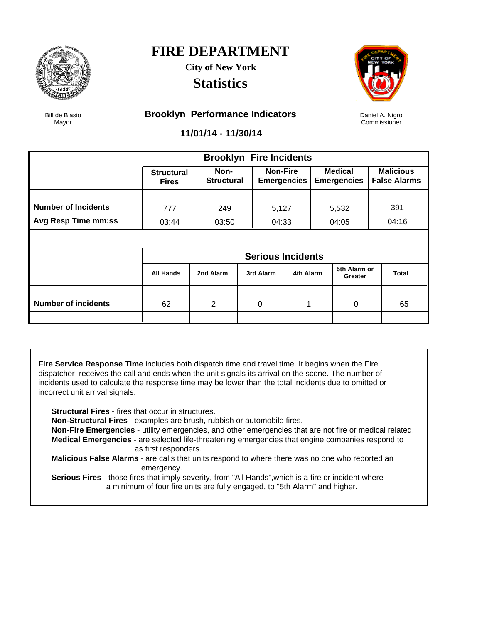

**City of New York Statistics**



Daniel A. Nigro Commissioner

Bill de Blasio Mayor

#### **Brooklyn Performance Indicators**

**11/01/14 - 11/30/14**

|                            |                                   | <b>Brooklyn Fire Incidents</b> |  |                                       |           |  |                                      |  |                                         |
|----------------------------|-----------------------------------|--------------------------------|--|---------------------------------------|-----------|--|--------------------------------------|--|-----------------------------------------|
|                            | <b>Structural</b><br><b>Fires</b> | Non-<br><b>Structural</b>      |  | <b>Non-Fire</b><br><b>Emergencies</b> |           |  | <b>Medical</b><br><b>Emergencies</b> |  | <b>Malicious</b><br><b>False Alarms</b> |
|                            |                                   |                                |  |                                       |           |  |                                      |  |                                         |
| <b>Number of Incidents</b> | 777                               | 249                            |  | 5,127                                 |           |  | 5,532                                |  | 391                                     |
| Avg Resp Time mm:ss        | 03:44                             | 03:50                          |  | 04:33                                 |           |  | 04:05                                |  | 04:16                                   |
|                            |                                   |                                |  |                                       |           |  |                                      |  |                                         |
|                            | <b>Serious Incidents</b>          |                                |  |                                       |           |  |                                      |  |                                         |
|                            | <b>All Hands</b>                  | 2nd Alarm                      |  | 3rd Alarm                             | 4th Alarm |  | 5th Alarm or<br>Greater              |  | <b>Total</b>                            |
|                            |                                   |                                |  |                                       |           |  |                                      |  |                                         |
| <b>Number of incidents</b> | 62                                | 2                              |  | 0                                     |           |  | 0                                    |  | 65                                      |
|                            |                                   |                                |  |                                       |           |  |                                      |  |                                         |

**Fire Service Response Time** includes both dispatch time and travel time. It begins when the Fire dispatcher receives the call and ends when the unit signals its arrival on the scene. The number of incidents used to calculate the response time may be lower than the total incidents due to omitted or incorrect unit arrival signals.

**Structural Fires** - fires that occur in structures.

**Non-Structural Fires** - examples are brush, rubbish or automobile fires.

 **Non-Fire Emergencies** - utility emergencies, and other emergencies that are not fire or medical related. **Medical Emergencies** - are selected life-threatening emergencies that engine companies respond to as first responders.

 **Malicious False Alarms** - are calls that units respond to where there was no one who reported an emergency.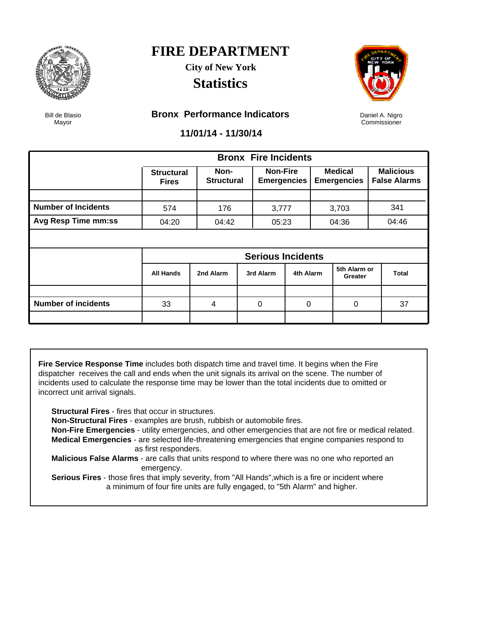

### **FIRE DEPARTMENT City of New York**

**Statistics**



Daniel A. Nigro Commissioner

Bill de Blasio Mayor

#### **Bronx Performance Indicators**

**11/01/14 - 11/30/14**

|                            |                                   |                           | <b>Bronx Fire Incidents</b>           |             |                                                                                   |  |                                         |
|----------------------------|-----------------------------------|---------------------------|---------------------------------------|-------------|-----------------------------------------------------------------------------------|--|-----------------------------------------|
|                            | <b>Structural</b><br><b>Fires</b> | Non-<br><b>Structural</b> | <b>Non-Fire</b><br><b>Emergencies</b> |             |                                                                                   |  | <b>Malicious</b><br><b>False Alarms</b> |
|                            |                                   |                           |                                       |             |                                                                                   |  |                                         |
| <b>Number of Incidents</b> | 574                               | 176                       | 3,777                                 |             |                                                                                   |  | 341                                     |
| <b>Avg Resp Time mm:ss</b> | 04:20                             | 04:42                     | 05:23                                 |             | <b>Medical</b><br><b>Emergencies</b><br>3,703<br>04:36<br>5th Alarm or<br>Greater |  | 04:46                                   |
|                            |                                   |                           |                                       |             |                                                                                   |  |                                         |
|                            |                                   |                           | <b>Serious Incidents</b>              |             |                                                                                   |  |                                         |
|                            | <b>All Hands</b>                  | 2nd Alarm                 | 3rd Alarm                             | 4th Alarm   |                                                                                   |  | <b>Total</b>                            |
|                            |                                   |                           |                                       |             |                                                                                   |  |                                         |
| <b>Number of incidents</b> | 33                                | 4                         | 0                                     | $\mathbf 0$ | $\Omega$                                                                          |  | 37                                      |
|                            |                                   |                           |                                       |             |                                                                                   |  |                                         |

**Fire Service Response Time** includes both dispatch time and travel time. It begins when the Fire dispatcher receives the call and ends when the unit signals its arrival on the scene. The number of incidents used to calculate the response time may be lower than the total incidents due to omitted or incorrect unit arrival signals.

**Structural Fires** - fires that occur in structures.

**Non-Structural Fires** - examples are brush, rubbish or automobile fires.

 **Non-Fire Emergencies** - utility emergencies, and other emergencies that are not fire or medical related. **Medical Emergencies** - are selected life-threatening emergencies that engine companies respond to as first responders.

 **Malicious False Alarms** - are calls that units respond to where there was no one who reported an emergency.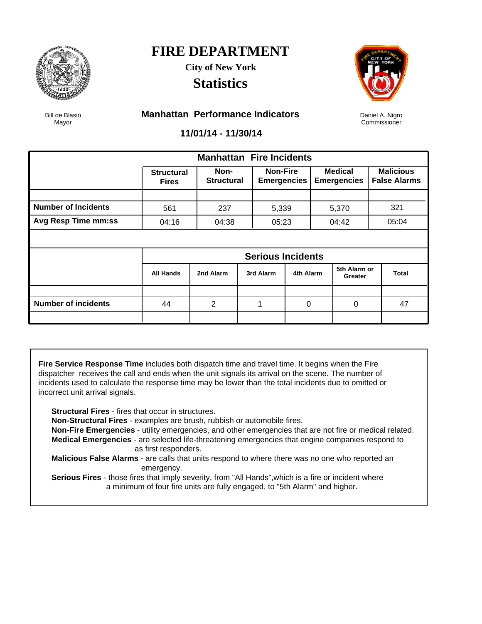

### **FIRE DEPARTMENT City of New York**

**Statistics**



Daniel A. Nigro Commissioner

Bill de Blasio Mayor

#### **Manhattan Performance Indicators**

**11/01/14 - 11/30/14**

|                            |                                   | <b>Manhattan Fire Incidents</b> |  |                                       |           |  |                                      |  |                                         |
|----------------------------|-----------------------------------|---------------------------------|--|---------------------------------------|-----------|--|--------------------------------------|--|-----------------------------------------|
|                            | <b>Structural</b><br><b>Fires</b> | Non-<br><b>Structural</b>       |  | <b>Non-Fire</b><br><b>Emergencies</b> |           |  | <b>Medical</b><br><b>Emergencies</b> |  | <b>Malicious</b><br><b>False Alarms</b> |
|                            |                                   |                                 |  |                                       |           |  |                                      |  |                                         |
| <b>Number of Incidents</b> | 561                               | 237                             |  | 5,339                                 |           |  | 5,370                                |  | 321                                     |
| Avg Resp Time mm:ss        | 04:16                             | 04:38                           |  | 05:23                                 |           |  | 04:42                                |  | 05:04                                   |
|                            |                                   |                                 |  |                                       |           |  |                                      |  |                                         |
|                            | <b>Serious Incidents</b>          |                                 |  |                                       |           |  |                                      |  |                                         |
|                            | <b>All Hands</b>                  | 2nd Alarm                       |  | 3rd Alarm                             | 4th Alarm |  | 5th Alarm or<br>Greater              |  | <b>Total</b>                            |
|                            |                                   |                                 |  |                                       |           |  |                                      |  |                                         |
| <b>Number of incidents</b> | 44                                | 2                               |  |                                       | $\Omega$  |  | 0                                    |  | 47                                      |
|                            |                                   |                                 |  |                                       |           |  |                                      |  |                                         |

**Fire Service Response Time** includes both dispatch time and travel time. It begins when the Fire dispatcher receives the call and ends when the unit signals its arrival on the scene. The number of incidents used to calculate the response time may be lower than the total incidents due to omitted or incorrect unit arrival signals.

**Structural Fires** - fires that occur in structures.

**Non-Structural Fires** - examples are brush, rubbish or automobile fires.

 **Non-Fire Emergencies** - utility emergencies, and other emergencies that are not fire or medical related. **Medical Emergencies** - are selected life-threatening emergencies that engine companies respond to as first responders.

 **Malicious False Alarms** - are calls that units respond to where there was no one who reported an emergency.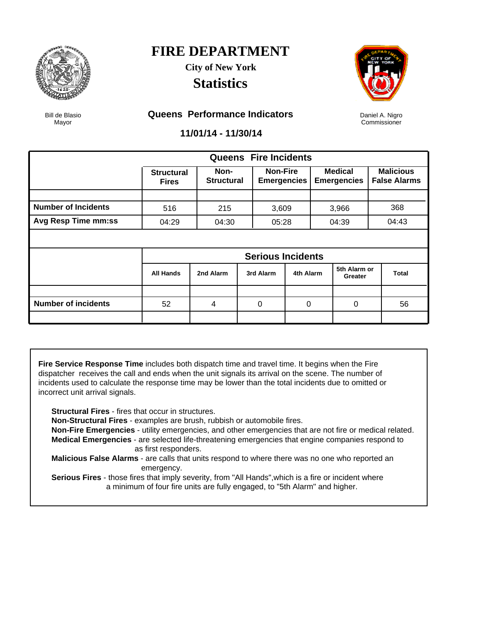

**City of New York Statistics**



Daniel A. Nigro Commissioner

Bill de Blasio Mayor

#### **Queens Performance Indicators**

**11/01/14 - 11/30/14**

|                            |                                   |                           |  | <b>Queens</b> Fire Incidents          |           |  |                                      |  |                                         |
|----------------------------|-----------------------------------|---------------------------|--|---------------------------------------|-----------|--|--------------------------------------|--|-----------------------------------------|
|                            | <b>Structural</b><br><b>Fires</b> | Non-<br><b>Structural</b> |  | <b>Non-Fire</b><br><b>Emergencies</b> |           |  | <b>Medical</b><br><b>Emergencies</b> |  | <b>Malicious</b><br><b>False Alarms</b> |
|                            |                                   |                           |  |                                       |           |  |                                      |  |                                         |
| <b>Number of Incidents</b> | 516                               | 215                       |  | 3,609                                 |           |  | 3,966                                |  | 368                                     |
| Avg Resp Time mm:ss        | 04:29                             | 04:30                     |  | 05:28                                 |           |  | 04:39                                |  | 04:43                                   |
|                            |                                   |                           |  |                                       |           |  |                                      |  |                                         |
|                            | <b>Serious Incidents</b>          |                           |  |                                       |           |  |                                      |  |                                         |
|                            | <b>All Hands</b>                  | 2nd Alarm                 |  | 3rd Alarm                             | 4th Alarm |  | 5th Alarm or<br>Greater              |  | Total                                   |
|                            |                                   |                           |  |                                       |           |  |                                      |  |                                         |
| <b>Number of incidents</b> | 52                                | 4                         |  | 0                                     | $\Omega$  |  | 0                                    |  | 56                                      |
|                            |                                   |                           |  |                                       |           |  |                                      |  |                                         |

**Fire Service Response Time** includes both dispatch time and travel time. It begins when the Fire dispatcher receives the call and ends when the unit signals its arrival on the scene. The number of incidents used to calculate the response time may be lower than the total incidents due to omitted or incorrect unit arrival signals.

**Structural Fires** - fires that occur in structures.

**Non-Structural Fires** - examples are brush, rubbish or automobile fires.

 **Non-Fire Emergencies** - utility emergencies, and other emergencies that are not fire or medical related. **Medical Emergencies** - are selected life-threatening emergencies that engine companies respond to as first responders.

 **Malicious False Alarms** - are calls that units respond to where there was no one who reported an emergency.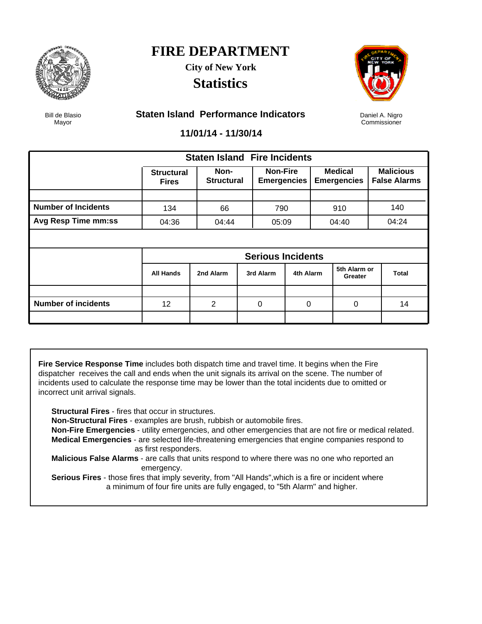

**City of New York Statistics**



Daniel A. Nigro Commissioner

Bill de Blasio Mayor

#### **Staten Island Performance Indicators**

**11/01/14 - 11/30/14**

|                            |                                   | <b>Staten Island Fire Incidents</b> |  |                                       |           |                                      |                         |  |                                         |
|----------------------------|-----------------------------------|-------------------------------------|--|---------------------------------------|-----------|--------------------------------------|-------------------------|--|-----------------------------------------|
|                            | <b>Structural</b><br><b>Fires</b> | Non-<br><b>Structural</b>           |  | <b>Non-Fire</b><br><b>Emergencies</b> |           | <b>Medical</b><br><b>Emergencies</b> |                         |  | <b>Malicious</b><br><b>False Alarms</b> |
|                            |                                   |                                     |  |                                       |           |                                      |                         |  |                                         |
| <b>Number of Incidents</b> | 134                               | 66                                  |  | 790                                   |           |                                      | 910                     |  | 140                                     |
| Avg Resp Time mm:ss        | 04:36                             | 04:44                               |  | 05:09                                 |           |                                      | 04:40                   |  | 04:24                                   |
|                            |                                   |                                     |  |                                       |           |                                      |                         |  |                                         |
|                            | <b>Serious Incidents</b>          |                                     |  |                                       |           |                                      |                         |  |                                         |
|                            | <b>All Hands</b>                  | 2nd Alarm                           |  | 3rd Alarm                             | 4th Alarm |                                      | 5th Alarm or<br>Greater |  | <b>Total</b>                            |
|                            |                                   |                                     |  |                                       |           |                                      |                         |  |                                         |
| <b>Number of incidents</b> | 12                                | 2                                   |  | $\Omega$                              | 0         |                                      | 0                       |  | 14                                      |
|                            |                                   |                                     |  |                                       |           |                                      |                         |  |                                         |

**Fire Service Response Time** includes both dispatch time and travel time. It begins when the Fire dispatcher receives the call and ends when the unit signals its arrival on the scene. The number of incidents used to calculate the response time may be lower than the total incidents due to omitted or incorrect unit arrival signals.

**Structural Fires** - fires that occur in structures.

**Non-Structural Fires** - examples are brush, rubbish or automobile fires.

 **Non-Fire Emergencies** - utility emergencies, and other emergencies that are not fire or medical related. **Medical Emergencies** - are selected life-threatening emergencies that engine companies respond to as first responders.

 **Malicious False Alarms** - are calls that units respond to where there was no one who reported an emergency.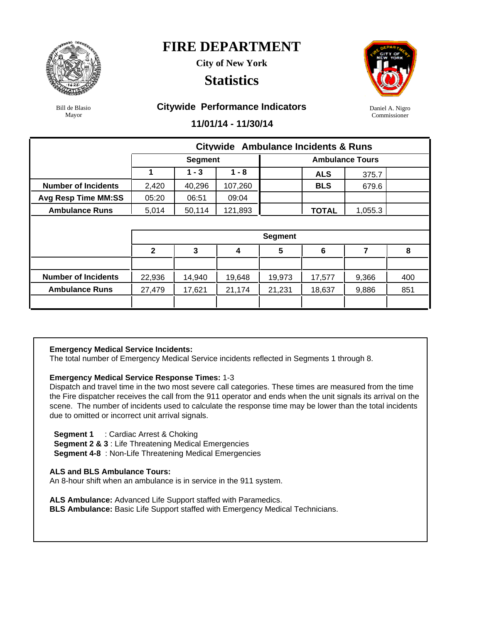

**City of New York**

### **Statistics**



Daniel A. Nigro Commissioner

Bill de Blasio Mayor

#### **Citywide Performance Indicators**

**11/01/14 - 11/30/14**

|                            |                |                |         |                | <b>Citywide Ambulance Incidents &amp; Runs</b> |         |     |  |  |  |
|----------------------------|----------------|----------------|---------|----------------|------------------------------------------------|---------|-----|--|--|--|
|                            |                | <b>Segment</b> |         |                | <b>Ambulance Tours</b>                         |         |     |  |  |  |
|                            | 1              | $1 - 3$        | $1 - 8$ |                | <b>ALS</b>                                     | 375.7   |     |  |  |  |
| <b>Number of Incidents</b> | 2,420          | 40,296         | 107,260 |                | <b>BLS</b>                                     | 679.6   |     |  |  |  |
| <b>Avg Resp Time MM:SS</b> | 05:20          | 06:51          | 09:04   |                |                                                |         |     |  |  |  |
| <b>Ambulance Runs</b>      | 5,014          | 50,114         | 121,893 |                | <b>TOTAL</b>                                   | 1,055.3 |     |  |  |  |
|                            |                |                |         |                |                                                |         |     |  |  |  |
|                            |                |                |         | <b>Segment</b> |                                                |         |     |  |  |  |
|                            | $\overline{2}$ | 3              | 4       | 5              | 6                                              | 7       | 8   |  |  |  |
|                            |                |                |         |                |                                                |         |     |  |  |  |
| <b>Number of Incidents</b> | 22,936         | 14,940         | 19,648  | 19,973         | 17,577                                         | 9,366   | 400 |  |  |  |
| <b>Ambulance Runs</b>      | 27,479         | 17,621         | 21,174  | 21,231         | 18,637                                         | 9,886   | 851 |  |  |  |
|                            |                |                |         |                |                                                |         |     |  |  |  |

#### **Emergency Medical Service Incidents:**

The total number of Emergency Medical Service incidents reflected in Segments 1 through 8.

#### **Emergency Medical Service Response Times:** 1-3

Dispatch and travel time in the two most severe call categories. These times are measured from the time the Fire dispatcher receives the call from the 911 operator and ends when the unit signals its arrival on the scene. The number of incidents used to calculate the response time may be lower than the total incidents due to omitted or incorrect unit arrival signals.

 **Segment 1** : Cardiac Arrest & Choking

**Segment 2 & 3** : Life Threatening Medical Emergencies

**Segment 4-8** : Non-Life Threatening Medical Emergencies

#### **ALS and BLS Ambulance Tours:**

An 8-hour shift when an ambulance is in service in the 911 system.

**ALS Ambulance:** Advanced Life Support staffed with Paramedics.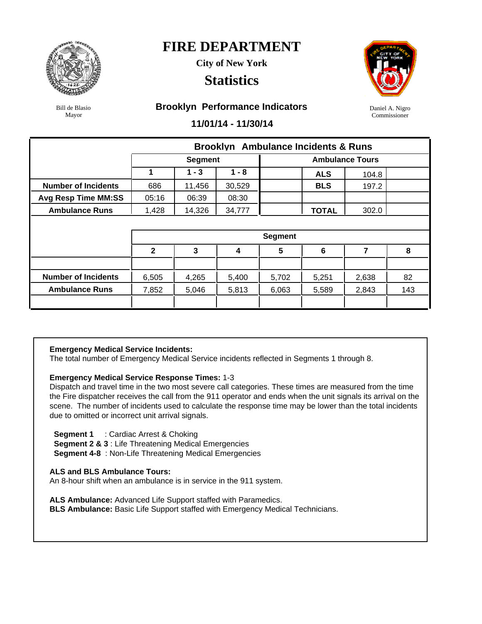

**City of New York**

### **Statistics**



Daniel A. Nigro Commissioner

Bill de Blasio Mayor

#### **Brooklyn Performance Indicators**

**11/01/14 - 11/30/14**

|                            |              |                |         | <b>Brooklyn</b> Ambulance Incidents & Runs |              |       |     |  |
|----------------------------|--------------|----------------|---------|--------------------------------------------|--------------|-------|-----|--|
|                            |              | <b>Segment</b> |         | <b>Ambulance Tours</b>                     |              |       |     |  |
|                            | 1            | $1 - 3$        | $1 - 8$ |                                            | <b>ALS</b>   | 104.8 |     |  |
| <b>Number of Incidents</b> | 686          | 11,456         | 30,529  |                                            | <b>BLS</b>   | 197.2 |     |  |
| <b>Avg Resp Time MM:SS</b> | 05:16        | 06:39          | 08:30   |                                            |              |       |     |  |
| <b>Ambulance Runs</b>      | 1,428        | 14,326         | 34,777  |                                            | <b>TOTAL</b> | 302.0 |     |  |
|                            |              |                |         |                                            |              |       |     |  |
|                            |              |                |         | <b>Segment</b>                             |              |       |     |  |
|                            | $\mathbf{2}$ | 3              | 4       | 5                                          | 6            | 7     | 8   |  |
|                            |              |                |         |                                            |              |       |     |  |
| <b>Number of Incidents</b> | 6,505        | 4,265          | 5,400   | 5,702                                      | 5,251        | 2,638 | 82  |  |
|                            |              |                |         |                                            |              |       |     |  |
| <b>Ambulance Runs</b>      | 7,852        | 5,046          | 5,813   | 6,063                                      | 5,589        | 2,843 | 143 |  |

#### **Emergency Medical Service Incidents:**

The total number of Emergency Medical Service incidents reflected in Segments 1 through 8.

#### **Emergency Medical Service Response Times:** 1-3

Dispatch and travel time in the two most severe call categories. These times are measured from the time the Fire dispatcher receives the call from the 911 operator and ends when the unit signals its arrival on the scene. The number of incidents used to calculate the response time may be lower than the total incidents due to omitted or incorrect unit arrival signals.

 **Segment 1** : Cardiac Arrest & Choking

**Segment 2 & 3** : Life Threatening Medical Emergencies

**Segment 4-8** : Non-Life Threatening Medical Emergencies

#### **ALS and BLS Ambulance Tours:**

An 8-hour shift when an ambulance is in service in the 911 system.

**ALS Ambulance:** Advanced Life Support staffed with Paramedics.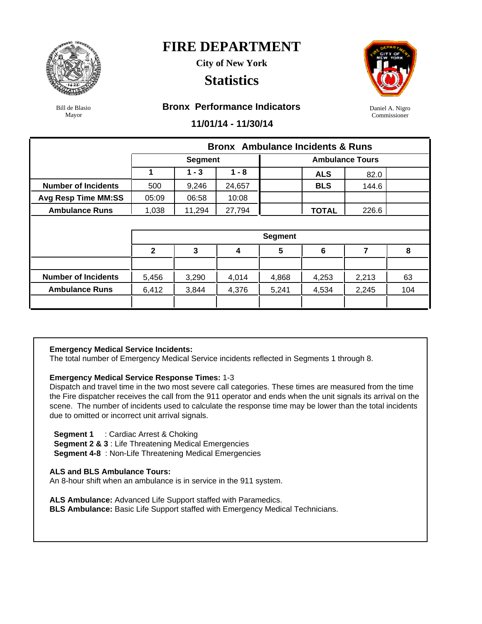

**City of New York**

### **Statistics**



Daniel A. Nigro Commissioner

Bill de Blasio Mayor

#### **Bronx Performance Indicators**

**11/01/14 - 11/30/14**

|                            |              |                |         | <b>Bronx</b> Ambulance Incidents & Runs |                        |       |     |  |  |
|----------------------------|--------------|----------------|---------|-----------------------------------------|------------------------|-------|-----|--|--|
|                            |              | <b>Segment</b> |         |                                         | <b>Ambulance Tours</b> |       |     |  |  |
|                            | 1            | $1 - 3$        | $1 - 8$ |                                         | <b>ALS</b>             | 82.0  |     |  |  |
| <b>Number of Incidents</b> | 500          | 9,246          | 24,657  |                                         | <b>BLS</b>             | 144.6 |     |  |  |
| <b>Avg Resp Time MM:SS</b> | 05:09        | 06:58          | 10:08   |                                         |                        |       |     |  |  |
| <b>Ambulance Runs</b>      | 1,038        | 11,294         | 27,794  |                                         | <b>TOTAL</b>           | 226.6 |     |  |  |
|                            |              |                |         |                                         |                        |       |     |  |  |
|                            |              |                |         | <b>Segment</b>                          |                        |       |     |  |  |
|                            | $\mathbf{2}$ | 3              | 4       | $5\phantom{1}$                          | 6                      | 7     | 8   |  |  |
|                            |              |                |         |                                         |                        |       |     |  |  |
| <b>Number of Incidents</b> | 5,456        | 3,290          | 4,014   | 4,868                                   | 4,253                  | 2,213 | 63  |  |  |
| <b>Ambulance Runs</b>      | 6,412        | 3,844          | 4,376   | 5,241                                   | 4,534                  | 2,245 | 104 |  |  |
|                            |              |                |         |                                         |                        |       |     |  |  |

#### **Emergency Medical Service Incidents:**

The total number of Emergency Medical Service incidents reflected in Segments 1 through 8.

#### **Emergency Medical Service Response Times:** 1-3

Dispatch and travel time in the two most severe call categories. These times are measured from the time the Fire dispatcher receives the call from the 911 operator and ends when the unit signals its arrival on the scene. The number of incidents used to calculate the response time may be lower than the total incidents due to omitted or incorrect unit arrival signals.

 **Segment 1** : Cardiac Arrest & Choking

**Segment 2 & 3** : Life Threatening Medical Emergencies

**Segment 4-8** : Non-Life Threatening Medical Emergencies

#### **ALS and BLS Ambulance Tours:**

An 8-hour shift when an ambulance is in service in the 911 system.

**ALS Ambulance:** Advanced Life Support staffed with Paramedics.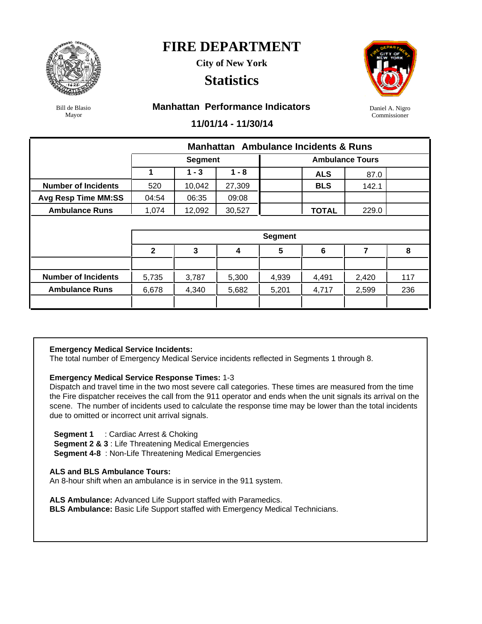

**City of New York**

### **Statistics**



Bill de Blasio Mayor

#### **Manhattan Performance Indicators**

Daniel A. Nigro Commissioner

#### **11/01/14 - 11/30/14**

|                            |                |                |                  |                        | <b>Manhattan</b> Ambulance Incidents & Runs |       |     |  |  |  |
|----------------------------|----------------|----------------|------------------|------------------------|---------------------------------------------|-------|-----|--|--|--|
|                            |                | <b>Segment</b> |                  | <b>Ambulance Tours</b> |                                             |       |     |  |  |  |
|                            | 1              | $1 - 3$        | $1 - 8$          |                        | <b>ALS</b>                                  | 87.0  |     |  |  |  |
| <b>Number of Incidents</b> | 520            | 10,042         | 27,309           |                        | <b>BLS</b>                                  | 142.1 |     |  |  |  |
| <b>Avg Resp Time MM:SS</b> | 04:54          | 06:35          | 09:08            |                        |                                             |       |     |  |  |  |
| <b>Ambulance Runs</b>      | 1,074          | 12,092         | 30,527           |                        | <b>TOTAL</b>                                | 229.0 |     |  |  |  |
|                            |                |                |                  |                        |                                             |       |     |  |  |  |
|                            | <b>Segment</b> |                |                  |                        |                                             |       |     |  |  |  |
|                            |                |                |                  |                        |                                             |       |     |  |  |  |
|                            | $\mathbf{2}$   | 3              | $\boldsymbol{4}$ | 5                      | 6                                           | 7     | 8   |  |  |  |
|                            |                |                |                  |                        |                                             |       |     |  |  |  |
| <b>Number of Incidents</b> | 5,735          | 3,787          | 5,300            | 4,939                  | 4,491                                       | 2,420 | 117 |  |  |  |
| <b>Ambulance Runs</b>      | 6,678          | 4,340          | 5,682            | 5,201                  | 4,717                                       | 2,599 | 236 |  |  |  |

#### **Emergency Medical Service Incidents:**

The total number of Emergency Medical Service incidents reflected in Segments 1 through 8.

#### **Emergency Medical Service Response Times:** 1-3

Dispatch and travel time in the two most severe call categories. These times are measured from the time the Fire dispatcher receives the call from the 911 operator and ends when the unit signals its arrival on the scene. The number of incidents used to calculate the response time may be lower than the total incidents due to omitted or incorrect unit arrival signals.

 **Segment 1** : Cardiac Arrest & Choking

**Segment 2 & 3** : Life Threatening Medical Emergencies

**Segment 4-8** : Non-Life Threatening Medical Emergencies

#### **ALS and BLS Ambulance Tours:**

An 8-hour shift when an ambulance is in service in the 911 system.

**ALS Ambulance:** Advanced Life Support staffed with Paramedics.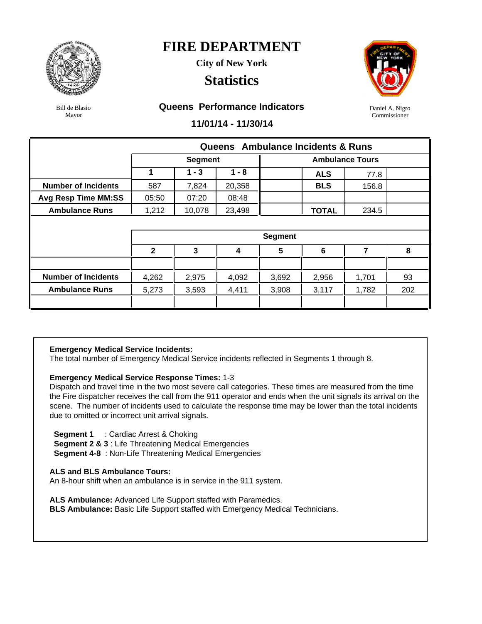

**City of New York**

### **Statistics**



Bill de Blasio Mayor

#### **Queens Performance Indicators**

**11/01/14 - 11/30/14**

|                            |              |                |         | Queens Ambulance Incidents & Runs |              |                |     |
|----------------------------|--------------|----------------|---------|-----------------------------------|--------------|----------------|-----|
|                            |              | <b>Segment</b> |         |                                   |              |                |     |
|                            |              | $1 - 3$        | $1 - 8$ |                                   | <b>ALS</b>   | 77.8           |     |
| <b>Number of Incidents</b> | 587          | 7,824          | 20,358  |                                   | <b>BLS</b>   | 156.8          |     |
| <b>Avg Resp Time MM:SS</b> | 05:50        | 07:20          | 08:48   |                                   |              |                |     |
| <b>Ambulance Runs</b>      | 1,212        | 10,078         | 23,498  |                                   | <b>TOTAL</b> | 234.5          |     |
|                            |              |                |         |                                   |              |                |     |
|                            |              |                |         | <b>Segment</b>                    |              |                |     |
|                            | $\mathbf{2}$ | 3              | 4       | 5                                 | 6            | $\overline{7}$ | 8   |
|                            |              |                |         |                                   |              |                |     |
| <b>Number of Incidents</b> | 4,262        | 2,975          | 4,092   | 3,692                             | 2,956        | 1,701          | 93  |
| <b>Ambulance Runs</b>      | 5,273        | 3,593          | 4,411   | 3,908                             | 3,117        | 1,782          | 202 |
|                            |              |                |         |                                   |              |                |     |

#### **Emergency Medical Service Incidents:**

The total number of Emergency Medical Service incidents reflected in Segments 1 through 8.

#### **Emergency Medical Service Response Times:** 1-3

Dispatch and travel time in the two most severe call categories. These times are measured from the time the Fire dispatcher receives the call from the 911 operator and ends when the unit signals its arrival on the scene. The number of incidents used to calculate the response time may be lower than the total incidents due to omitted or incorrect unit arrival signals.

 **Segment 1** : Cardiac Arrest & Choking

**Segment 2 & 3** : Life Threatening Medical Emergencies

**Segment 4-8** : Non-Life Threatening Medical Emergencies

#### **ALS and BLS Ambulance Tours:**

An 8-hour shift when an ambulance is in service in the 911 system.

**ALS Ambulance:** Advanced Life Support staffed with Paramedics.

**BLS Ambulance:** Basic Life Support staffed with Emergency Medical Technicians.

Daniel A. Nigro Commissioner